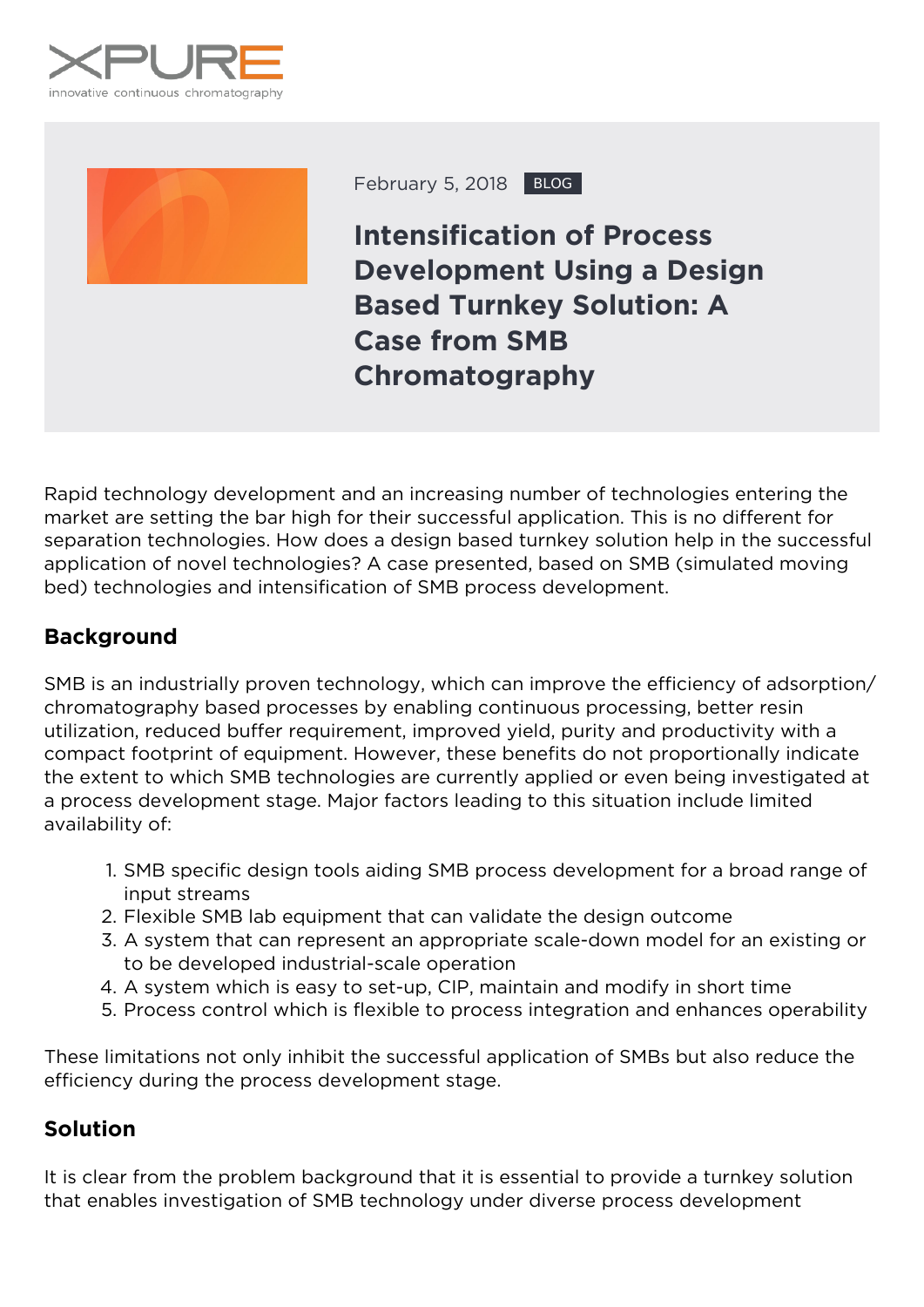



February 5, 2018 BLOG

**Intensification of Process Development Using a Design Based Turnkey Solution: A Case from SMB Chromatography**

Rapid technology development and an increasing number of technologies entering the market are setting the bar high for their successful application. This is no different for separation technologies. How does a design based turnkey solution help in the successful application of novel technologies? A case presented, based on SMB (simulated moving bed) technologies and intensification of SMB process development.

## **Background**

SMB is an industrially proven technology, which can improve the efficiency of adsorption/ chromatography based processes by enabling continuous processing, better resin utilization, reduced buffer requirement, improved yield, purity and productivity with a compact footprint of equipment. However, these benefits do not proportionally indicate the extent to which SMB technologies are currently applied or even being investigated at a process development stage. Major factors leading to this situation include limited availability of:

- 1. SMB specific design tools aiding SMB process development for a broad range of input streams
- 2. Flexible SMB lab equipment that can validate the design outcome
- 3. A system that can represent an appropriate scale-down model for an existing or to be developed industrial-scale operation
- 4. A system which is easy to set-up, CIP, maintain and modify in short time
- 5. Process control which is flexible to process integration and enhances operability

These limitations not only inhibit the successful application of SMBs but also reduce the efficiency during the process development stage.

## **Solution**

It is clear from the problem background that it is essential to provide a turnkey solution that enables investigation of SMB technology under diverse process development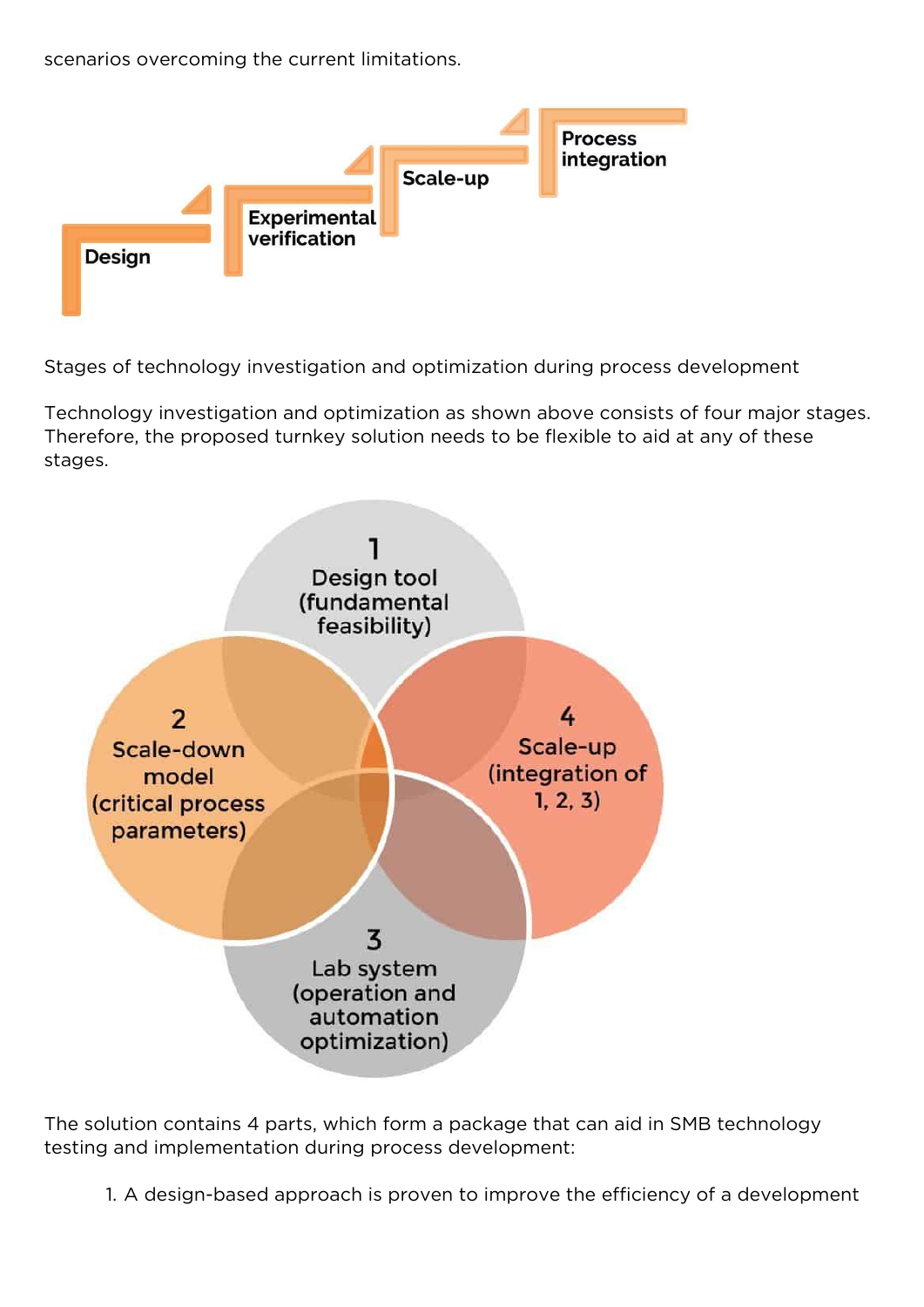scenarios overcoming the current limitations.



Stages of technology investigation and optimization during process development

Technology investigation and optimization as shown above consists of four major stages. Therefore, the proposed turnkey solution needs to be flexible to aid at any of these stages.



The solution contains 4 parts, which form a package that can aid in SMB technology testing and implementation during process development:

1. A design-based approach is proven to improve the efficiency of a development